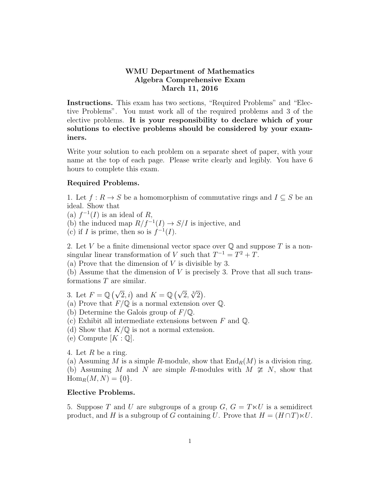## WMU Department of Mathematics Algebra Comprehensive Exam March 11, 2016

Instructions. This exam has two sections, "Required Problems" and "Elective Problems". You must work all of the required problems and 3 of the elective problems. It is your responsibility to declare which of your solutions to elective problems should be considered by your examiners.

Write your solution to each problem on a separate sheet of paper, with your name at the top of each page. Please write clearly and legibly. You have 6 hours to complete this exam.

## Required Problems.

1. Let  $f: R \to S$  be a homomorphism of commutative rings and  $I \subseteq S$  be an ideal. Show that

(a)  $f^{-1}(I)$  is an ideal of R,

(b) the induced map  $R/f^{-1}(I) \to S/I$  is injective, and

(c) if I is prime, then so is  $f^{-1}(I)$ .

2. Let V be a finite dimensional vector space over  $\mathbb Q$  and suppose T is a nonsingular linear transformation of V such that  $T^{-1} = T^2 + T$ .

(a) Prove that the dimension of  $V$  is divisible by 3.

(b) Assume that the dimension of  $V$  is precisely 3. Prove that all such transformations T are similar.

3. Let  $F = \mathbb{Q}(\sqrt{2}, i)$  and  $K = \mathbb{Q}(\sqrt{2}, \sqrt[3]{2})$ .

- (a) Prove that  $F/\mathbb{Q}$  is a normal extension over  $\mathbb{Q}$ .
- (b) Determine the Galois group of  $F/\mathbb{Q}$ .
- (c) Exhibit all intermediate extensions between  $F$  and  $\mathbb{Q}$ .
- (d) Show that  $K/\mathbb{Q}$  is not a normal extension.
- (e) Compute  $[K:\mathbb{Q}].$

4. Let R be a ring.

(a) Assuming M is a simple R-module, show that  $\text{End}_{R}(M)$  is a division ring. (b) Assuming M and N are simple R-modules with  $M \ncong N$ , show that  $\text{Hom}_{R}(M, N) = \{0\}.$ 

## Elective Problems.

5. Suppose T and U are subgroups of a group  $G, G = T \times U$  is a semidirect product, and H is a subgroup of G containing U. Prove that  $H = (H \cap T) \ltimes U$ .